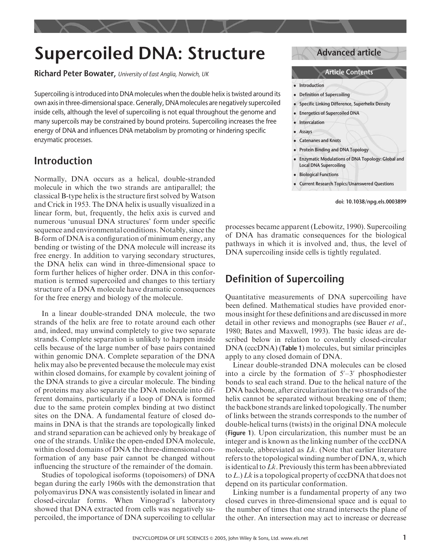# Supercoiled DNA: Structure

Richard Peter Bowater, University of East Anglia, Norwich, UK

Supercoiling is introduced into DNA molecules when the double helix is twisted around its own axis in three-dimensional space. Generally, DNA molecules are negatively supercoiled inside cells, although the level of supercoiling is not equal throughout the genome and many supercoils may be constrained by bound proteins. Supercoiling increases the free energy of DNA and influences DNA metabolism by promoting or hindering specific enzymatic processes.

# Introduction

Normally, DNA occurs as a helical, double-stranded molecule in which the two strands are antiparallel; the classical B-type helix is the structure first solved by Watson and Crick in 1953. The DNA helix is usually visualized in a linear form, but, frequently, the helix axis is curved and numerous 'unusual DNA structures' form under specific sequence and environmental conditions. Notably, since the B-form of DNA is a configuration of minimum energy, any bending or twisting of the DNA molecule will increase its free energy. In addition to varying secondary structures, the DNA helix can wind in three-dimensional space to form further helices of higher order. DNA in this conformation is termed supercoiled and changes to this tertiary structure of a DNA molecule have dramatic consequences for the free energy and biology of the molecule.

In a linear double-stranded DNA molecule, the two strands of the helix are free to rotate around each other and, indeed, may unwind completely to give two separate strands. Complete separation is unlikely to happen inside cells because of the large number of base pairs contained within genomic DNA. Complete separation of the DNA helix may also be prevented because the molecule may exist within closed domains, for example by covalent joining of the DNA strands to give a circular molecule. The binding of proteins may also separate the DNA molecule into different domains, particularly if a loop of DNA is formed due to the same protein complex binding at two distinct sites on the DNA. A fundamental feature of closed domains in DNA is that the strands are topologically linked and strand separation can be achieved only by breakage of one of the strands. Unlike the open-ended DNA molecule, within closed domains of DNA the three-dimensional conformation of any base pair cannot be changed without influencing the structure of the remainder of the domain.

Studies of topological isoforms (topoisomers) of DNA began during the early 1960s with the demonstration that polyomavirus DNA was consistently isolated in linear and closed-circular forms. When Vinograd's laboratory showed that DNA extracted from cells was negatively supercoiled, the importance of DNA supercoiling to cellular

#### Advanced article

#### Article Contents

- **•** Introduction
- . Definition of Supercoiling
- . Specific Linking Difference, Superhelix Density
- . Energetics of Supercoiled DNA
- . Intercalation
- . Assays
- . Catenanes and Knots
- . Protein Binding and DNA Topology
- . Enzymatic Modulations of DNA Topology: Global and Local DNA Supercoiling
- . Biological Functions
- . Current Research Topics/Unanswered Questions

processes became apparent (Lebowitz, 1990). Supercoiling of DNA has dramatic consequences for the biological pathways in which it is involved and, thus, the level of DNA supercoiling inside cells is tightly regulated.

# Definition of Supercoiling

Quantitative measurements of DNA supercoiling have been defined. Mathematical studies have provided enormous insight for these definitions and are discussed in more detail in other reviews and monographs (see Bauer et al., 1980; Bates and Maxwell, 1993). The basic ideas are described below in relation to covalently closed-circular DNA (cccDNA) (Table 1) molecules, but similar principles apply to any closed domain of DNA.

Linear double-stranded DNA molecules can be closed into a circle by the formation of  $5'-3'$  phosphodiester bonds to seal each strand. Due to the helical nature of the DNA backbone, after circularization the two strands of the helix cannot be separated without breaking one of them; the backbone strands are linked topologically. The number of links between the strands corresponds to the number of double-helical turns (twists) in the original DNA molecule (Figure 1). Upon circularization, this number must be an integer and is known as the linking number of the cccDNA molecule, abbreviated as Lk. (Note that earlier literature refers to the topological winding number of  $DNA$ ,  $\alpha$ , which is identical to  $Lk$ . Previously this term has been abbreviated to L.) Lk is a topological property of cccDNA that does not depend on its particular conformation.

Linking number is a fundamental property of any two closed curves in three-dimensional space and is equal to the number of times that one strand intersects the plane of the other. An intersection may act to increase or decrease

doi: 10.1038/npg.els.0003899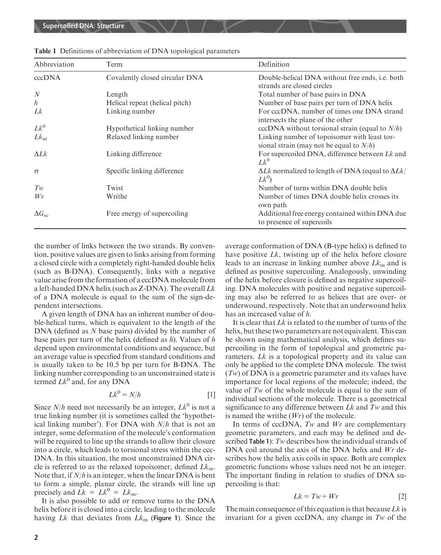| Abbreviation        | Term                           | Definition                                                                                 |
|---------------------|--------------------------------|--------------------------------------------------------------------------------------------|
| cccDNA              | Covalently closed circular DNA | Double-helical DNA without free ends, i.e. both<br>strands are closed circles              |
| $\overline{N}$      | Length                         | Total number of base pairs in DNA                                                          |
| $\boldsymbol{h}$    | Helical repeat (helical pitch) | Number of base pairs per turn of DNA helix                                                 |
| Lk                  | Linking number                 | For cccDNA, number of times one DNA strand<br>intersects the plane of the other            |
| $Lk^0$              | Hypothetical linking number    | cccDNA without torsional strain (equal to $N/h$ )                                          |
| $Lk_{\rm m}$        | Relaxed linking number         | Linking number of topoisomer with least tor-<br>sional strain (may not be equal to $N/h$ ) |
| $\Delta Lk$         | Linking difference             | For supercoiled DNA, difference between Lk and<br>$Lk^0$                                   |
| $\sigma$            | Specific linking difference    | $\Delta Lk$ normalized to length of DNA (equal to $\Delta Lk$ )<br>$Lk^0$                  |
| Tw                  | Twist                          | Number of turns within DNA double helix                                                    |
| Wr                  | Writhe                         | Number of times DNA double helix crosses its<br>own path                                   |
| $\Delta G_{\rm sc}$ | Free energy of supercoiling    | Additional free energy contained within DNA due<br>to presence of supercoils               |

Table 1 Definitions of abbreviation of DNA topological parameters

the number of links between the two strands. By convention, positive values are given to links arising from forming a closed circle with a completely right-handed double helix (such as B-DNA). Consequently, links with a negative value arise from the formation of a cccDNA molecule from a left-handed DNA helix (such as Z-DNA). The overall Lk of a DNA molecule is equal to the sum of the sign-dependent intersections.

A given length of DNA has an inherent number of double-helical turns, which is equivalent to the length of the DNA (defined as N base pairs) divided by the number of base pairs per turn of the helix (defined as  $h$ ). Values of  $h$ depend upon environmental conditions and sequence, but an average value is specified from standard conditions and is usually taken to be 10.5 bp per turn for B-DNA. The linking number corresponding to an unconstrained state is termed  $Lk^0$  and, for any DNA

$$
Lk^0 = N/h \tag{1}
$$

Since  $N/h$  need not necessarily be an integer,  $Lk^0$  is not a true linking number (it is sometimes called the 'hypothetical linking number'). For DNA with  $N/h$  that is not an integer, some deformation of the molecule's conformation will be required to line up the strands to allow their closure into a circle, which leads to torsional stress within the ccc-DNA. In this situation, the most unconstrained DNA circle is referred to as the relaxed topoisomer, defined  $Lk<sub>m</sub>$ . Note that, if  $N/h$  is an integer, when the linear DNA is bent to form a simple, planar circle, the strands will line up precisely and  $Lk = Lk^0 = Lk_m$ .

It is also possible to add or remove turns to the DNA helix before it is closed into a circle, leading to the molecule having Lk that deviates from  $Lk<sub>m</sub>$  (Figure 1). Since the

average conformation of DNA (B-type helix) is defined to have positive Lk, twisting up of the helix before closure leads to an increase in linking number above  $Lk<sub>m</sub>$  and is defined as positive supercoiling. Analogously, unwinding of the helix before closure is defined as negative supercoiling. DNA molecules with positive and negative supercoiling may also be referred to as helices that are over- or underwound, respectively. Note that an underwound helix has an increased value of h.

It is clear that  $Lk$  is related to the number of turns of the helix, but these two parameters are not equivalent. This can be shown using mathematical analysis, which defines supercoiling in the form of topological and geometric parameters. Lk is a topological property and its value can only be applied to the complete DNA molecule. The twist  $(Tw)$  of DNA is a geometric parameter and its values have importance for local regions of the molecule; indeed, the value of Tw of the whole molecule is equal to the sum of individual sections of the molecule. There is a geometrical significance to any difference between  $Lk$  and  $Tw$  and this is named the writhe  $(Wr)$  of the molecule.

In terms of  $ccDNA$ , Tw and Wr are complementary geometric parameters, and each may be defined and described Table 1): Tw describes how the individual strands of DNA coil around the axis of the DNA helix and  $Wr$  describes how the helix axis coils in space. Both are complex geometric functions whose values need not be an integer. The important finding in relation to studies of DNA supercoiling is that:

$$
Lk = Tw + Wr \tag{2}
$$

The main consequence of this equation is that because  $Lk$  is invariant for a given  $ccDNA$ , any change in Tw of the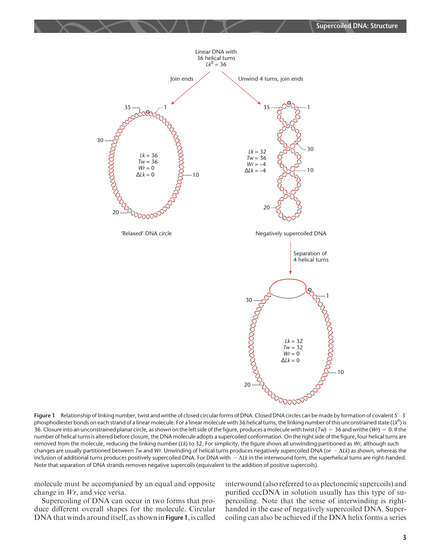

Figure 1 Relationship of linking number, twist and writhe of closed circular forms of DNA. Closed DNA circles can be made by formation of covalent 5'–3' phosphodiester bonds on each strand of a linear molecule. For a linear molecule with 36 helical turns, the linking number of this unconstrained state (Lk<sup>0</sup>) is 36. Closure into an unconstrained planar circle, as shown on the left side of the figure, produces a molecule with twist  $(Tw) = 36$  and writhe (Wr) = 0. If the number of helical turns is altered before closure, the DNA molecule adopts a supercoiled conformation. On the right side of the figure, four helical turns are removed from the molecule, reducing the linking number (Lk) to 32. For simplicity, the figure shows all unwinding partitioned as Wr, although such changes are usually partitioned between Tw and Wr. Unwinding of helical turns produces negatively supercoiled DNA (or  $-\Delta Lk$ ) as shown, whereas the inclusion of additional turns produces positively supercoiled DNA. For DNA with  $-\Delta Lk$  in the interwound form, the superhelical turns are right-handed. Note that separation of DNA strands removes negative supercoils (equivalent to the addition of positive supercoils).

molecule must be accompanied by an equal and opposite change in Wr, and vice versa.

Supercoiling of DNA can occur in two forms that produce different overall shapes for the molecule. Circular DNA that winds around itself, as shown in Figure 1, is called

interwound (also referred to as plectonemic supercoils) and purified cccDNA in solution usually has this type of supercoiling. Note that the sense of interwinding is righthanded in the case of negatively supercoiled DNA. Supercoiling can also be achieved if the DNA helix forms a series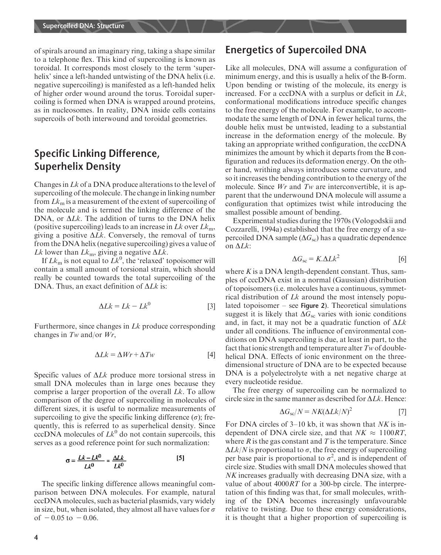of spirals around an imaginary ring, taking a shape similar to a telephone flex. This kind of supercoiling is known as toroidal. It corresponds most closely to the term 'superhelix' since a left-handed untwisting of the DNA helix (i.e. negative supercoiling) is manifested as a left-handed helix of higher order wound around the torus. Toroidal supercoiling is formed when DNA is wrapped around proteins, as in nucleosomes. In reality, DNA inside cells contains supercoils of both interwound and toroidal geometries.

## Specific Linking Difference, Superhelix Density

Changes in Lk of a DNA produce alterations to the level of supercoiling of the molecule. The change in linking number from  $Lk<sub>m</sub>$  is a measurement of the extent of supercoiling of the molecule and is termed the linking difference of the DNA, or  $\Delta Lk$ . The addition of turns to the DNA helix (positive supercoiling) leads to an increase in Lk over  $Lk_m$ , giving a positive  $\Delta Lk$ . Conversely, the removal of turns from the DNA helix (negative supercoiling) gives a value of Lk lower than  $Lk_m$ , giving a negative  $\Delta Lk$ .

If  $Lk_m$  is not equal to  $Lk^0$ , the 'relaxed' topoisomer will contain a small amount of torsional strain, which should really be counted towards the total supercoiling of the DNA. Thus, an exact definition of  $\Delta Lk$  is:

$$
\Delta L k = L k - L k^0 \tag{3}
$$

Furthermore, since changes in Lk produce corresponding changes in Tw and/or  $Wr$ ,

$$
\Delta L k = \Delta W r + \Delta T w \tag{4}
$$

Specific values of  $\Delta Lk$  produce more torsional stress in small DNA molecules than in large ones because they comprise a larger proportion of the overall Lk. To allow comparison of the degree of supercoiling in molecules of different sizes, it is useful to normalize measurements of supercoiling to give the specific linking difference  $(\sigma)$ ; frequently, this is referred to as superhelical density. Since cccDNA molecules of  $Lk^0$  do not contain supercoils, this serves as a good reference point for such normalization:

$$
\sigma = \frac{Lk - Lk^0}{Lk^0} = \frac{\Delta Lk}{Lk^0} \tag{5}
$$

The specific linking difference allows meaningful comparison between DNA molecules. For example, natural cccDNA molecules, such as bacterial plasmids, vary widely in size, but, when isolated, they almost all have values for  $\sigma$ of  $-0.05$  to  $-0.06$ .

## Energetics of Supercoiled DNA

Like all molecules, DNA will assume a configuration of minimum energy, and this is usually a helix of the B-form. Upon bending or twisting of the molecule, its energy is increased. For a cccDNA with a surplus or deficit in Lk, conformational modifications introduce specific changes to the free energy of the molecule. For example, to accommodate the same length of DNA in fewer helical turns, the double helix must be untwisted, leading to a substantial increase in the deformation energy of the molecule. By taking an appropriate writhed configuration, the cccDNA minimizes the amount by which it departs from the B configuration and reduces its deformation energy. On the other hand, writhing always introduces some curvature, and so it increases the bending contribution to the energy of the molecule. Since  $Wr$  and  $Tw$  are interconvertible, it is apparent that the underwound DNA molecule will assume a configuration that optimizes twist while introducing the smallest possible amount of bending.

Experimental studies during the 1970s (Vologodskii and Cozzarelli, 1994a) established that the free energy of a supercoiled DNA sample  $(\Delta G_{\rm sc})$  has a quadratic dependence on  $\Delta Lk$ :

$$
\Delta G_{\rm sc} = K \Delta L k^2 \tag{6}
$$

where  $K$  is a DNA length-dependent constant. Thus, samples of cccDNA exist in a normal (Gaussian) distribution of topoisomers (i.e. molecules have a continuous, symmetrical distribution of Lk around the most intensely populated topoisomer – see Figure 2). Theoretical simulations suggest it is likely that  $\Delta G_{\rm sc}$  varies with ionic conditions and, in fact, it may not be a quadratic function of  $\Delta Lk$ under all conditions. The influence of environmental conditions on DNA supercoiling is due, at least in part, to the fact that ionic strength and temperature alter  $Tw$  of doublehelical DNA. Effects of ionic environment on the threedimensional structure of DNA are to be expected because DNA is a polyelectrolyte with a net negative charge at every nucleotide residue.

The free energy of supercoiling can be normalized to circle size in the same manner as described for  $\Delta Lk$ . Hence:

$$
\Delta G_{\rm sc}/N = N K (\Delta L k/N)^2 \tag{7}
$$

For DNA circles of  $3-10$  kb, it was shown that NK is independent of DNA circle size, and that  $NK \approx 1100RT$ , where  $R$  is the gas constant and  $T$  is the temperature. Since  $\Delta Lk/N$  is proportional to  $\sigma$ , the free energy of supercoiling per base pair is proportional to  $\sigma^2$ , and is independent of circle size. Studies with small DNA molecules showed that NK increases gradually with decreasing DNA size, with a value of about 4000RT for a 300-bp circle. The interpretation of this finding was that, for small molecules, writhing of the DNA becomes increasingly unfavourable relative to twisting. Due to these energy considerations, it is thought that a higher proportion of supercoiling is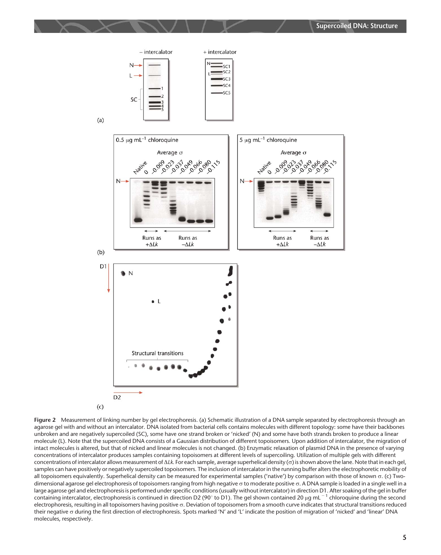

Figure 2 Measurement of linking number by gel electrophoresis. (a) Schematic illustration of a DNA sample separated by electrophoresis through an agarose gel with and without an intercalator. DNA isolated from bacterial cells contains molecules with different topology: some have their backbones unbroken and are negatively supercoiled (SC), some have one strand broken or 'nicked' (N) and some have both strands broken to produce a linear molecule (L). Note that the supercoiled DNA consists of a Gaussian distribution of different topoisomers. Upon addition of intercalator, the migration of intact molecules is altered, but that of nicked and linear molecules is not changed. (b) Enzymatic relaxation of plasmid DNA in the presence of varying concentrations of intercalator produces samples containing topoisomers at different levels of supercoiling. Utilization of multiple gels with different concentrations of intercalator allows measurement of  $\Delta Lk$ . For each sample, average superhelical density ( $\sigma$ ) is shown above the lane. Note that in each gel, samples can have positively or negatively supercoiled topoisomers. The inclusion of intercalator in the running buffer alters the electrophoretic mobility of all topoisomers equivalently. Superhelical density can be measured for experimental samples ('native') by comparison with those of known  $\sigma$ . (c) Twodimensional agarose gel electrophoresis of topoisomers ranging from high negative  $\sigma$  to moderate positive  $\sigma$ . A DNA sample is loaded in a single well in a large agarose gel and electrophoresis is performed under specific conditions (usually without intercalator) in direction D1. After soaking of the gel in buffer containing intercalator, electrophoresis is continued in direction D2 (90° to D1). The gel shown contained 20  $\mu$ g mL<sup>-1</sup> chloroquine during the second electrophoresis, resulting in all topoisomers having positive o. Deviation of topoisomers from a smooth curve indicates that structural transitions reduced their negative o during the first direction of electrophoresis. Spots marked 'N' and 'L' indicate the position of migration of 'nicked' and 'linear' DNA molecules, respectively.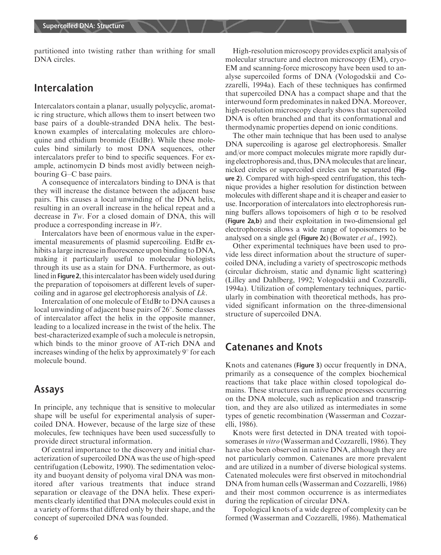partitioned into twisting rather than writhing for small DNA circles.

#### Intercalation

Intercalators contain a planar, usually polycyclic, aromatic ring structure, which allows them to insert between two base pairs of a double-stranded DNA helix. The bestknown examples of intercalating molecules are chloroquine and ethidium bromide (EtdBr). While these molecules bind similarly to most DNA sequences, other intercalators prefer to bind to specific sequences. For example, actinomycin D binds most avidly between neighbouring G–C base pairs.

A consequence of intercalators binding to DNA is that they will increase the distance between the adjacent base pairs. This causes a local unwinding of the DNA helix, resulting in an overall increase in the helical repeat and a decrease in Tw. For a closed domain of DNA, this will produce a corresponding increase in Wr.

Intercalators have been of enormous value in the experimental measurements of plasmid supercoiling. EtdBr exhibits a large increase in fluorescence upon binding to DNA, making it particularly useful to molecular biologists through its use as a stain for DNA. Furthermore, as outlined in Figure 2, this intercalator has been widely used during the preparation of topoisomers at different levels of supercoiling and in agarose gel electrophoresis analysis of Lk.

Intercalation of one molecule of EtdBr to DNA causes a local unwinding of adjacent base pairs of  $26^{\circ}$ . Some classes of intercalator affect the helix in the opposite manner, leading to a localized increase in the twist of the helix. The best-characterized example of such a molecule is netropsin, which binds to the minor groove of AT-rich DNA and increases winding of the helix by approximately  $9^{\circ}$  for each molecule bound.

#### Assays

In principle, any technique that is sensitive to molecular shape will be useful for experimental analysis of supercoiled DNA. However, because of the large size of these molecules, few techniques have been used successfully to provide direct structural information.

Of central importance to the discovery and initial characterization of supercoiled DNA was the use of high-speed centrifugation (Lebowitz, 1990). The sedimentation velocity and buoyant density of polyoma viral DNA was monitored after various treatments that induce strand separation or cleavage of the DNA helix. These experiments clearly identified that DNA molecules could exist in a variety of forms that differed only by their shape, and the concept of supercoiled DNA was founded.

High-resolution microscopy provides explicit analysis of molecular structure and electron microscopy (EM), cryo-EM and scanning-force microscopy have been used to analyse supercoiled forms of DNA (Vologodskii and Cozzarelli, 1994a). Each of these techniques has confirmed that supercoiled DNA has a compact shape and that the interwound form predominates in naked DNA. Moreover, high-resolution microscopy clearly shows that supercoiled DNA is often branched and that its conformational and thermodynamic properties depend on ionic conditions.

The other main technique that has been used to analyse DNA supercoiling is agarose gel electrophoresis. Smaller and/or more compact molecules migrate more rapidly during electrophoresis and, thus, DNA molecules that arelinear, nicked circles or supercoiled circles can be separated (Figure 2). Compared with high-speed centrifugation, this technique provides a higher resolution for distinction between molecules with different shape and it is cheaper and easier to use. Incorporation of intercalators into electrophoresis running buffers allows topoisomers of high  $\sigma$  to be resolved (Figure 2a,b) and their exploitation in two-dimensional gel electrophoresis allows a wide range of topoisomers to be analysed on a single gel (Figure 2c) (Bowater et al., 1992).

Other experimental techniques have been used to provide less direct information about the structure of supercoiled DNA, including a variety of spectroscopic methods (circular dichroism, static and dynamic light scattering) (Lilley and Dahlberg, 1992; Vologodskii and Cozzarelli, 1994a). Utilization of complementary techniques, particularly in combination with theoretical methods, has provided significant information on the three-dimensional structure of supercoiled DNA.

## Catenanes and Knots

Knots and catenanes (Figure 3) occur frequently in DNA, primarily as a consequence of the complex biochemical reactions that take place within closed topological domains. These structures can influence processes occurring on the DNA molecule, such as replication and transcription, and they are also utilized as intermediates in some types of genetic recombination (Wasserman and Cozzarelli, 1986).

Knots were first detected in DNA treated with topoisomerases in vitro (Wasserman and Cozzarelli, 1986). They have also been observed in native DNA, although they are not particularly common. Catenanes are more prevalent and are utilized in a number of diverse biological systems. Catenated molecules were first observed in mitochondrial DNA from human cells (Wasserman and Cozzarelli, 1986) and their most common occurrence is as intermediates during the replication of circular DNA.

Topological knots of a wide degree of complexity can be formed (Wasserman and Cozzarelli, 1986). Mathematical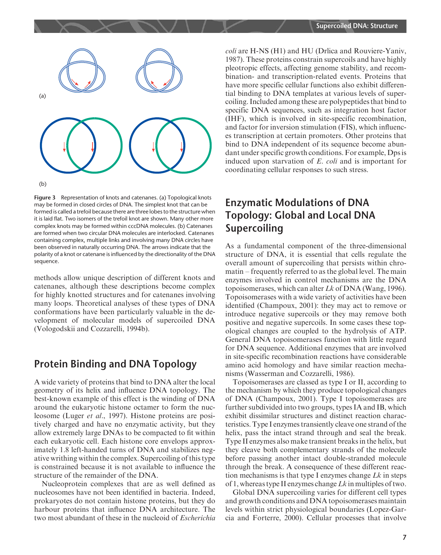

Figure 3 Representation of knots and catenanes. (a) Topological knots may be formed in closed circles of DNA. The simplest knot that can be formed is called a trefoil because there are three lobes to the structure when it is laid flat. Two isomers of the trefoil knot are shown. Many other more complex knots may be formed within cccDNA molecules. (b) Catenanes are formed when two circular DNA molecules are interlocked. Catenanes containing complex, multiple links and involving many DNA circles have been observed in naturally occurring DNA. The arrows indicate that the polarity of a knot or catenane is influenced by the directionality of the DNA sequence.

methods allow unique description of different knots and catenanes, although these descriptions become complex for highly knotted structures and for catenanes involving many loops. Theoretical analyses of these types of DNA conformations have been particularly valuable in the development of molecular models of supercoiled DNA (Vologodskii and Cozzarelli, 1994b).

## Protein Binding and DNA Topology

A wide variety of proteins that bind to DNA alter the local geometry of its helix and influence DNA topology. The best-known example of this effect is the winding of DNA around the eukaryotic histone octamer to form the nucleosome (Luger et al., 1997). Histone proteins are positively charged and have no enzymatic activity, but they allow extremely large DNAs to be compacted to fit within each eukaryotic cell. Each histone core envelops approximately 1.8 left-handed turns of DNA and stabilizes negative writhing within the complex. Supercoiling of this type is constrained because it is not available to influence the structure of the remainder of the DNA.

Nucleoprotein complexes that are as well defined as nucleosomes have not been identified in bacteria. Indeed, prokaryotes do not contain histone proteins, but they do harbour proteins that influence DNA architecture. The two most abundant of these in the nucleoid of Escherichia

coli are H-NS (H1) and HU (Drlica and Rouviere-Yaniv, 1987). These proteins constrain supercoils and have highly pleotropic effects, affecting genome stability, and recombination- and transcription-related events. Proteins that have more specific cellular functions also exhibit differential binding to DNA templates at various levels of supercoiling. Included among these are polypeptides that bind to specific DNA sequences, such as integration host factor (IHF), which is involved in site-specific recombination, and factor for inversion stimulation (FIS), which influences transcription at certain promoters. Other proteins that bind to DNA independent of its sequence become abundant under specific growth conditions. For example, Dps is induced upon starvation of E. coli and is important for coordinating cellular responses to such stress.

# Enzymatic Modulations of DNA Topology: Global and Local DNA Supercoiling

As a fundamental component of the three-dimensional structure of DNA, it is essential that cells regulate the overall amount of supercoiling that persists within chromatin – frequently referred to as the global level. The main enzymes involved in control mechanisms are the DNA topoisomerases, which can alter Lk of DNA (Wang, 1996). Topoisomerases with a wide variety of activities have been identified (Champoux, 2001): they may act to remove or introduce negative supercoils or they may remove both positive and negative supercoils. In some cases these topological changes are coupled to the hydrolysis of ATP. General DNA topoisomerases function with little regard for DNA sequence. Additional enzymes that are involved in site-specific recombination reactions have considerable amino acid homology and have similar reaction mechanisms (Wasserman and Cozzarelli, 1986).

Topoisomerases are classed as type I or II, according to the mechanism by which they produce topological changes of DNA (Champoux, 2001). Type I topoisomerases are further subdivided into two groups, types IA and IB, which exhibit dissimilar structures and distinct reaction characteristics. Type I enzymes transiently cleave one strand of the helix, pass the intact strand through and seal the break. Type II enzymes also make transient breaks in the helix, but they cleave both complementary strands of the molecule before passing another intact double-stranded molecule through the break. A consequence of these different reaction mechanisms is that type I enzymes change  $Lk$  in steps of 1, whereas type II enzymes change  $Lk$  in multiples of two.

Global DNA supercoiling varies for different cell types and growth conditions and DNA topoisomerases maintain levels within strict physiological boundaries (Lopez-Garcia and Forterre, 2000). Cellular processes that involve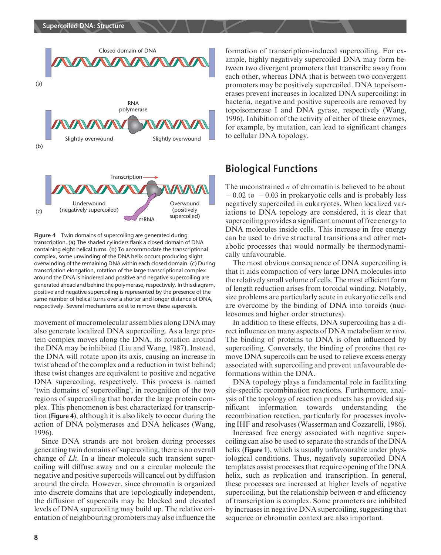

Figure 4 Twin domains of supercoiling are generated during transcription. (a) The shaded cylinders flank a closed domain of DNA containing eight helical turns. (b) To accommodate the transcriptional complex, some unwinding of the DNA helix occurs producing slight overwinding of the remaining DNA within each closed domain. (c) During transcription elongation, rotation of the large transcriptional complex around the DNA is hindered and positive and negative supercoiling are generated ahead and behind the polymerase, respectively. In this diagram, positive and negative supercoiling is represented by the presence of the same number of helical turns over a shorter and longer distance of DNA, respectively. Several mechanisms exist to remove these supercoils.

movement of macromolecular assemblies along DNA may also generate localized DNA supercoiling. As a large protein complex moves along the DNA, its rotation around the DNA may be inhibited (Liu and Wang, 1987). Instead, the DNA will rotate upon its axis, causing an increase in twist ahead of the complex and a reduction in twist behind; these twist changes are equivalent to positive and negative DNA supercoiling, respectively. This process is named 'twin domains of supercoiling', in recognition of the two regions of supercoiling that border the large protein complex. This phenomenon is best characterized for transcription (Figure 4), although it is also likely to occur during the action of DNA polymerases and DNA helicases (Wang, 1996).

Since DNA strands are not broken during processes generating twin domains of supercoiling, there is no overall change of Lk. In a linear molecule such transient supercoiling will diffuse away and on a circular molecule the negative and positive supercoils will cancel out by diffusion around the circle. However, since chromatin is organized into discrete domains that are topologically independent, the diffusion of supercoils may be blocked and elevated levels of DNA supercoiling may build up. The relative orientation of neighbouring promoters may also influence the formation of transcription-induced supercoiling. For example, highly negatively supercoiled DNA may form between two divergent promoters that transcribe away from each other, whereas DNA that is between two convergent promoters may be positively supercoiled. DNA topoisomerases prevent increases in localized DNA supercoiling: in bacteria, negative and positive supercoils are removed by topoisomerase I and DNA gyrase, respectively (Wang, 1996). Inhibition of the activity of either of these enzymes, for example, by mutation, can lead to significant changes to cellular DNA topology.

## Biological Functions

The unconstrained  $\sigma$  of chromatin is believed to be about  $-0.02$  to  $-0.03$  in prokaryotic cells and is probably less negatively supercoiled in eukaryotes. When localized variations to DNA topology are considered, it is clear that supercoiling provides a significant amount of free energy to DNA molecules inside cells. This increase in free energy can be used to drive structural transitions and other metabolic processes that would normally be thermodynamically unfavourable.

The most obvious consequence of DNA supercoiling is that it aids compaction of very large DNA molecules into the relatively small volume of cells. The most efficient form of length reduction arises from toroidal winding. Notably, size problems are particularly acute in eukaryotic cells and are overcome by the binding of DNA into toroids (nucleosomes and higher order structures).

In addition to these effects, DNA supercoiling has a direct influence on many aspects of DNA metabolism in vivo. The binding of proteins to DNA is often influenced by supercoiling. Conversely, the binding of proteins that remove DNA supercoils can be used to relieve excess energy associated with supercoiling and prevent unfavourable deformations within the DNA.

DNA topology plays a fundamental role in facilitating site-specific recombination reactions. Furthermore, analysis of the topology of reaction products has provided significant information towards understanding the recombination reaction, particularly for processes involving IHF and resolvases (Wasserman and Cozzarelli, 1986).

Increased free energy associated with negative supercoiling can also be used to separate the strands of the DNA helix (Figure 1), which is usually unfavourable under physiological conditions. Thus, negatively supercoiled DNA templates assist processes that require opening of the DNA helix, such as replication and transcription. In general, these processes are increased at higher levels of negative supercoiling, but the relationship between  $\sigma$  and efficiency of transcription is complex. Some promoters are inhibited by increases in negative DNA supercoiling, suggesting that sequence or chromatin context are also important.